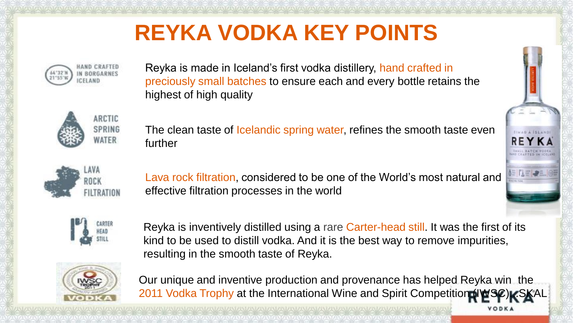# **REYKA VODKA KEY POINTS**



Reyka is made in Iceland's first vodka distillery, hand crafted in preciously small batches to ensure each and every bottle retains the highest of high quality



The clean taste of *Icelandic spring water*, refines the smooth taste even further



Lava rock filtration, considered to be one of the World's most natural and effective filtration processes in the world



Reyka is inventively distilled using a rare Carter-head still. It was the first of its kind to be used to distill vodka. And it is the best way to remove impurities, resulting in the smooth taste of Reyka.



Our unique and inventive production and provenance has helped Reyka win the 2011 Vodka Trophy at the International Wine and Spirit Competition (IV)

VODKA